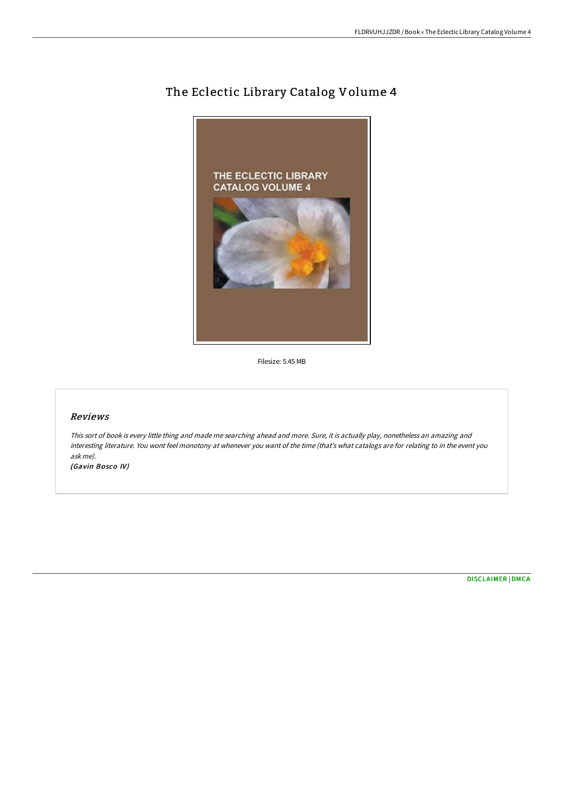# The Eclectic Library Catalog Volume 4



Filesize: 5.45 MB

## Reviews

This sort of book is every little thing and made me searching ahead and more. Sure, it is actually play, nonetheless an amazing and interesting literature. You wont feel monotony at whenever you want of the time (that's what catalogs are for relating to in the event you ask me).

(Gavin Bosco IV)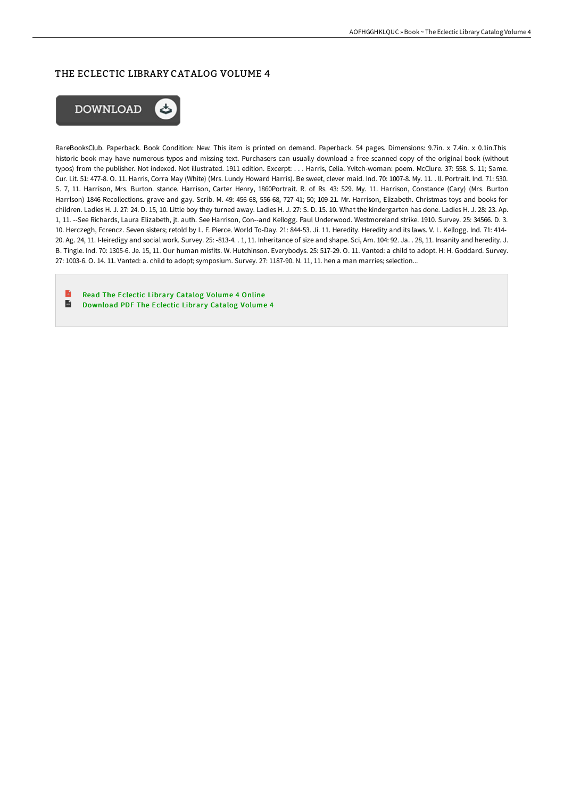# THE ECLECTIC LIBRARY CATALOG VOLUME 4



RareBooksClub. Paperback. Book Condition: New. This item is printed on demand. Paperback. 54 pages. Dimensions: 9.7in. x 7.4in. x 0.1in.This historic book may have numerous typos and missing text. Purchasers can usually download a free scanned copy of the original book (without typos) from the publisher. Not indexed. Not illustrated. 1911 edition. Excerpt: . . . Harris, Celia. Yvitch-woman: poem. McClure. 37: 558. S. 11; Same. Cur. Lit. 51: 477-8. O. 11. Harris, Corra May (White) (Mrs. Lundy Howard Harris). Be sweet, clever maid. Ind. 70: 1007-8. My. 11. . ll. Portrait. Ind. 71: 530. S. 7, 11. Harrison, Mrs. Burton. stance. Harrison, Carter Henry, 1860Portrait. R. of Rs. 43: 529. My. 11. Harrison, Constance (Cary) (Mrs. Burton Harrlson) 1846-Recollections. grave and gay. Scrib. M. 49: 456-68, 556-68, 727-41; 50; 109-21. Mr. Harrison, Elizabeth. Christmas toys and books for children. Ladies H. J. 27: 24. D. 15, 10. Little boy they turned away. Ladies H. J. 27: S. D. 15. 10. What the kindergarten has done. Ladies H. J. 28: 23. Ap. 1, 11. --See Richards, Laura Elizabeth, jt. auth. See Harrison, Con--and Kellogg. Paul Underwood. Westmoreland strike. 1910. Survey. 25: 34566. D. 3. 10. Herczegh, Fcrencz. Seven sisters; retold by L. F. Pierce. World To-Day. 21: 844-53. Ji. 11. Heredity. Heredity and its laws. V. L. Kellogg. Ind. 71: 414- 20. Ag. 24, 11. I-Ieiredigy and social work. Survey. 25: -813-4. . 1, 11. Inheritance of size and shape. Sci, Am. 104: 92. Ja. . 28, 11. Insanity and heredity. J. B. Tingle. Ind. 70: 1305-6. Je. 15, 11. Our human misfits. W. Hutchinson. Everybodys. 25: 517-29. O. 11. Vanted: a child to adopt. H: H. Goddard. Survey. 27: 1003-6. O. 14. 11. Vanted: a. child to adopt; symposium. Survey. 27: 1187-90. N. 11, 11. hen a man marries; selection...

B Read The [Eclectic](http://techno-pub.tech/the-eclectic-library-catalog-volume-4.html) Library Catalog Volume 4 Online  $\overline{\mathbf{m}}$ [Download](http://techno-pub.tech/the-eclectic-library-catalog-volume-4.html) PDF The Eclectic Library Catalog Volume 4